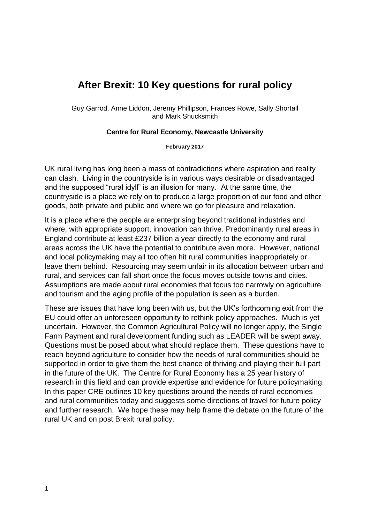# **After Brexit: 10 Key questions for rural policy**

Guy Garrod, Anne Liddon, Jeremy Phillipson, Frances Rowe, Sally Shortall and Mark Shucksmith

#### **Centre for Rural Economy, Newcastle University**

**February 2017**

UK rural living has long been a mass of contradictions where aspiration and reality can clash. Living in the countryside is in various ways desirable or disadvantaged and the supposed "rural idyll" is an illusion for many. At the same time, the countryside is a place we rely on to produce a large proportion of our food and other goods, both private and public and where we go for pleasure and relaxation.

It is a place where the people are enterprising beyond traditional industries and where, with appropriate support, innovation can thrive. Predominantly rural areas in England contribute at least £237 billion a year directly to the economy and rural areas across the UK have the potential to contribute even more. However, national and local policymaking may all too often hit rural communities inappropriately or leave them behind. Resourcing may seem unfair in its allocation between urban and rural, and services can fall short once the focus moves outside towns and cities. Assumptions are made about rural economies that focus too narrowly on agriculture and tourism and the aging profile of the population is seen as a burden.

These are issues that have long been with us, but the UK's forthcoming exit from the EU could offer an unforeseen opportunity to rethink policy approaches. Much is yet uncertain. However, the Common Agricultural Policy will no longer apply, the Single Farm Payment and rural development funding such as LEADER will be swept away. Questions must be posed about what should replace them. These questions have to reach beyond agriculture to consider how the needs of rural communities should be supported in order to give them the best chance of thriving and playing their full part in the future of the UK. The Centre for Rural Economy has a 25 year history of research in this field and can provide expertise and evidence for future policymaking. In this paper CRE outlines 10 key questions around the needs of rural economies and rural communities today and suggests some directions of travel for future policy and further research. We hope these may help frame the debate on the future of the rural UK and on post Brexit rural policy.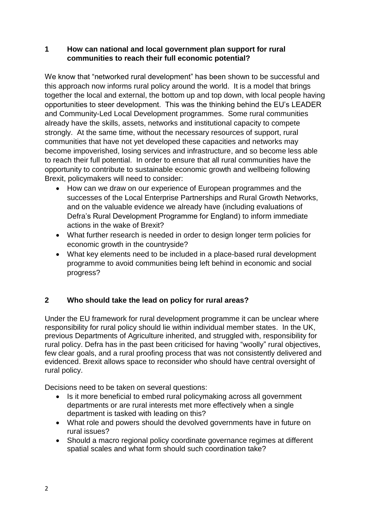#### **1 How can national and local government plan support for rural communities to reach their full economic potential?**

We know that "networked rural development" has been shown to be successful and this approach now informs rural policy around the world. It is a model that brings together the local and external, the bottom up and top down, with local people having opportunities to steer development. This was the thinking behind the EU's LEADER and Community-Led Local Development programmes. Some rural communities already have the skills, assets, networks and institutional capacity to compete strongly. At the same time, without the necessary resources of support, rural communities that have not yet developed these capacities and networks may become impoverished, losing services and infrastructure, and so become less able to reach their full potential. In order to ensure that all rural communities have the opportunity to contribute to sustainable economic growth and wellbeing following Brexit, policymakers will need to consider:

- How can we draw on our experience of European programmes and the successes of the Local Enterprise Partnerships and Rural Growth Networks, and on the valuable evidence we already have (including evaluations of Defra's Rural Development Programme for England) to inform immediate actions in the wake of Brexit?
- What further research is needed in order to design longer term policies for economic growth in the countryside?
- What key elements need to be included in a place-based rural development programme to avoid communities being left behind in economic and social progress?

## **2 Who should take the lead on policy for rural areas?**

Under the EU framework for rural development programme it can be unclear where responsibility for rural policy should lie within individual member states. In the UK, previous Departments of Agriculture inherited, and struggled with, responsibility for rural policy. Defra has in the past been criticised for having "woolly" rural objectives, few clear goals, and a rural proofing process that was not consistently delivered and evidenced. Brexit allows space to reconsider who should have central oversight of rural policy.

Decisions need to be taken on several questions:

- Is it more beneficial to embed rural policymaking across all government departments or are rural interests met more effectively when a single department is tasked with leading on this?
- What role and powers should the devolved governments have in future on rural issues?
- Should a macro regional policy coordinate governance regimes at different spatial scales and what form should such coordination take?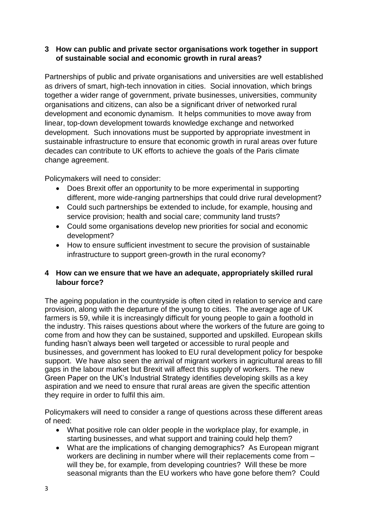#### **3 How can public and private sector organisations work together in support of sustainable social and economic growth in rural areas?**

Partnerships of public and private organisations and universities are well established as drivers of smart, high-tech innovation in cities. Social innovation, which brings together a wider range of government, private businesses, universities, community organisations and citizens, can also be a significant driver of networked rural development and economic dynamism. It helps communities to move away from linear, top-down development towards knowledge exchange and networked development. Such innovations must be supported by appropriate investment in sustainable infrastructure to ensure that economic growth in rural areas over future decades can contribute to UK efforts to achieve the goals of the Paris climate change agreement.

Policymakers will need to consider:

- Does Brexit offer an opportunity to be more experimental in supporting different, more wide-ranging partnerships that could drive rural development?
- Could such partnerships be extended to include, for example, housing and service provision; health and social care; community land trusts?
- Could some organisations develop new priorities for social and economic development?
- How to ensure sufficient investment to secure the provision of sustainable infrastructure to support green-growth in the rural economy?

### **4 How can we ensure that we have an adequate, appropriately skilled rural labour force?**

The ageing population in the countryside is often cited in relation to service and care provision, along with the departure of the young to cities. The average age of UK farmers is 59, while it is increasingly difficult for young people to gain a foothold in the industry. This raises questions about where the workers of the future are going to come from and how they can be sustained, supported and upskilled. European skills funding hasn't always been well targeted or accessible to rural people and businesses, and government has looked to EU rural development policy for bespoke support. We have also seen the arrival of migrant workers in agricultural areas to fill gaps in the labour market but Brexit will affect this supply of workers. The new Green Paper on the UK's Industrial Strategy identifies developing skills as a key aspiration and we need to ensure that rural areas are given the specific attention they require in order to fulfil this aim.

Policymakers will need to consider a range of questions across these different areas of need:

- What positive role can older people in the workplace play, for example, in starting businesses, and what support and training could help them?
- What are the implications of changing demographics? As European migrant workers are declining in number where will their replacements come from – will they be, for example, from developing countries? Will these be more seasonal migrants than the EU workers who have gone before them? Could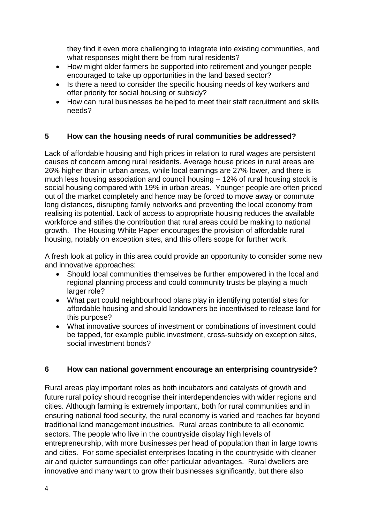they find it even more challenging to integrate into existing communities, and what responses might there be from rural residents?

- How might older farmers be supported into retirement and younger people encouraged to take up opportunities in the land based sector?
- Is there a need to consider the specific housing needs of key workers and offer priority for social housing or subsidy?
- How can rural businesses be helped to meet their staff recruitment and skills needs?

### **5 How can the housing needs of rural communities be addressed?**

Lack of affordable housing and high prices in relation to rural wages are persistent causes of concern among rural residents. Average house prices in rural areas are 26% higher than in urban areas, while local earnings are 27% lower, and there is much less housing association and council housing – 12% of rural housing stock is social housing compared with 19% in urban areas. Younger people are often priced out of the market completely and hence may be forced to move away or commute long distances, disrupting family networks and preventing the local economy from realising its potential. Lack of access to appropriate housing reduces the available workforce and stifles the contribution that rural areas could be making to national growth. The Housing White Paper encourages the provision of affordable rural housing, notably on exception sites, and this offers scope for further work.

A fresh look at policy in this area could provide an opportunity to consider some new and innovative approaches:

- Should local communities themselves be further empowered in the local and regional planning process and could community trusts be playing a much larger role?
- What part could neighbourhood plans play in identifying potential sites for affordable housing and should landowners be incentivised to release land for this purpose?
- What innovative sources of investment or combinations of investment could be tapped, for example public investment, cross-subsidy on exception sites, social investment bonds?

#### **6 How can national government encourage an enterprising countryside?**

Rural areas play important roles as both incubators and catalysts of growth and future rural policy should recognise their interdependencies with wider regions and cities. Although farming is extremely important, both for rural communities and in ensuring national food security, the rural economy is varied and reaches far beyond traditional land management industries. Rural areas contribute to all economic sectors. The people who live in the countryside display high levels of entrepreneurship, with more businesses per head of population than in large towns and cities. For some specialist enterprises locating in the countryside with cleaner air and quieter surroundings can offer particular advantages. Rural dwellers are innovative and many want to grow their businesses significantly, but there also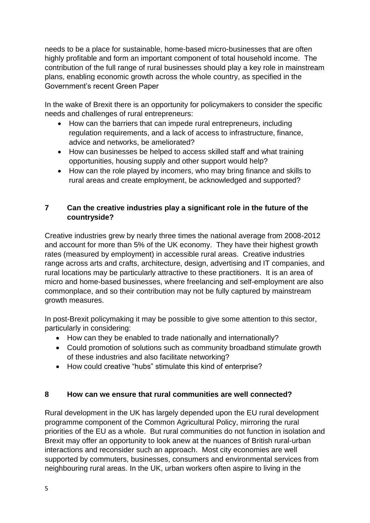needs to be a place for sustainable, home-based micro-businesses that are often highly profitable and form an important component of total household income. The contribution of the full range of rural businesses should play a key role in mainstream plans, enabling economic growth across the whole country, as specified in the Government's recent Green Paper

In the wake of Brexit there is an opportunity for policymakers to consider the specific needs and challenges of rural entrepreneurs:

- How can the barriers that can impede rural entrepreneurs, including regulation requirements, and a lack of access to infrastructure, finance, advice and networks, be ameliorated?
- How can businesses be helped to access skilled staff and what training opportunities, housing supply and other support would help?
- How can the role played by incomers, who may bring finance and skills to rural areas and create employment, be acknowledged and supported?

## **7 Can the creative industries play a significant role in the future of the countryside?**

Creative industries grew by nearly three times the national average from 2008-2012 and account for more than 5% of the UK economy. They have their highest growth rates (measured by employment) in accessible rural areas. Creative industries range across arts and crafts, architecture, design, advertising and IT companies, and rural locations may be particularly attractive to these practitioners. It is an area of micro and home-based businesses, where freelancing and self-employment are also commonplace, and so their contribution may not be fully captured by mainstream growth measures.

In post-Brexit policymaking it may be possible to give some attention to this sector, particularly in considering:

- How can they be enabled to trade nationally and internationally?
- Could promotion of solutions such as community broadband stimulate growth of these industries and also facilitate networking?
- How could creative "hubs" stimulate this kind of enterprise?

## **8 How can we ensure that rural communities are well connected?**

Rural development in the UK has largely depended upon the EU rural development programme component of the Common Agricultural Policy, mirroring the rural priorities of the EU as a whole. But rural communities do not function in isolation and Brexit may offer an opportunity to look anew at the nuances of British rural-urban interactions and reconsider such an approach. Most city economies are well supported by commuters, businesses, consumers and environmental services from neighbouring rural areas. In the UK, urban workers often aspire to living in the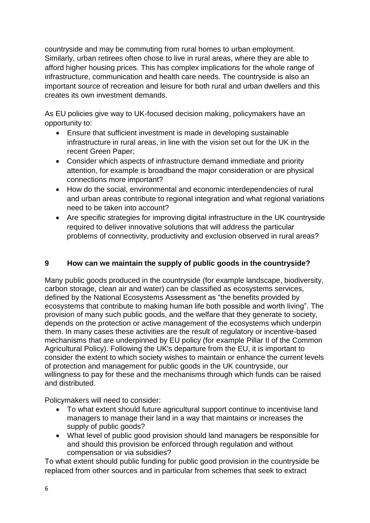countryside and may be commuting from rural homes to urban employment. Similarly, urban retirees often chose to live in rural areas, where they are able to afford higher housing prices. This has complex implications for the whole range of infrastructure, communication and health care needs. The countryside is also an important source of recreation and leisure for both rural and urban dwellers and this creates its own investment demands.

As EU policies give way to UK-focused decision making, policymakers have an opportunity to:

- Ensure that sufficient investment is made in developing sustainable infrastructure in rural areas, in line with the vision set out for the UK in the recent Green Paper;
- Consider which aspects of infrastructure demand immediate and priority attention, for example is broadband the major consideration or are physical connections more important?
- How do the social, environmental and economic interdependencies of rural and urban areas contribute to regional integration and what regional variations need to be taken into account?
- Are specific strategies for improving digital infrastructure in the UK countryside required to deliver innovative solutions that will address the particular problems of connectivity, productivity and exclusion observed in rural areas?

## **9 How can we maintain the supply of public goods in the countryside?**

Many public goods produced in the countryside (for example landscape, biodiversity, carbon storage, clean air and water) can be classified as ecosystems services, defined by the National Ecosystems Assessment as "the benefits provided by ecosystems that contribute to making human life both possible and worth living". The provision of many such public goods, and the welfare that they generate to society, depends on the protection or active management of the ecosystems which underpin them. In many cases these activities are the result of regulatory or incentive-based mechanisms that are underpinned by EU policy (for example Pillar II of the Common Agricultural Policy). Following the UK's departure from the EU, it is important to consider the extent to which society wishes to maintain or enhance the current levels of protection and management for public goods in the UK countryside, our willingness to pay for these and the mechanisms through which funds can be raised and distributed.

Policymakers will need to consider:

- To what extent should future agricultural support continue to incentivise land managers to manage their land in a way that maintains or increases the supply of public goods?
- What level of public good provision should land managers be responsible for and should this provision be enforced through regulation and without compensation or via subsidies?

To what extent should public funding for public good provision in the countryside be replaced from other sources and in particular from schemes that seek to extract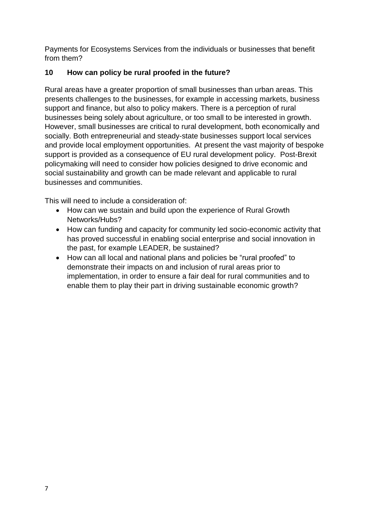Payments for Ecosystems Services from the individuals or businesses that benefit from them?

## **10 How can policy be rural proofed in the future?**

Rural areas have a greater proportion of small businesses than urban areas. This presents challenges to the businesses, for example in accessing markets, business support and finance, but also to policy makers. There is a perception of rural businesses being solely about agriculture, or too small to be interested in growth. However, small businesses are critical to rural development, both economically and socially. Both entrepreneurial and steady-state businesses support local services and provide local employment opportunities. At present the vast majority of bespoke support is provided as a consequence of EU rural development policy. Post-Brexit policymaking will need to consider how policies designed to drive economic and social sustainability and growth can be made relevant and applicable to rural businesses and communities.

This will need to include a consideration of:

- How can we sustain and build upon the experience of Rural Growth Networks/Hubs?
- How can funding and capacity for community led socio-economic activity that has proved successful in enabling social enterprise and social innovation in the past, for example LEADER, be sustained?
- How can all local and national plans and policies be "rural proofed" to demonstrate their impacts on and inclusion of rural areas prior to implementation, in order to ensure a fair deal for rural communities and to enable them to play their part in driving sustainable economic growth?